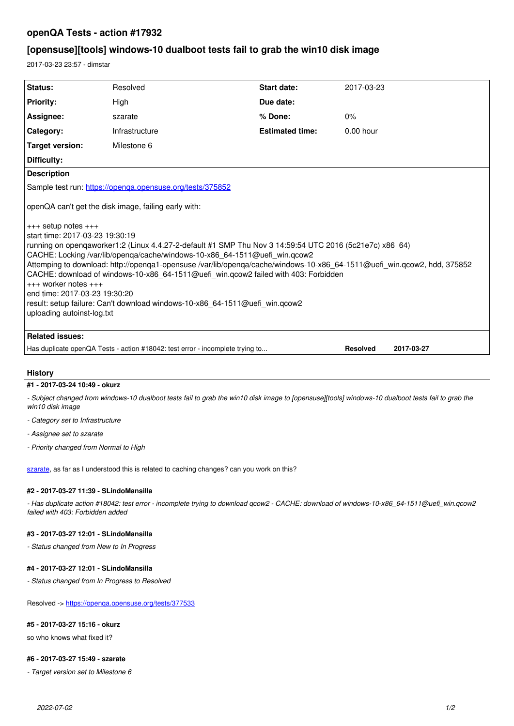# **openQA Tests - action #17932**

# **[opensuse][tools] windows-10 dualboot tests fail to grab the win10 disk image**

2017-03-23 23:57 - dimstar

| Status:                                                                                                                                                                                                                                                                                                                                                                                                                                                                                                                                                                                                                                                                                                   | Resolved       | <b>Start date:</b>     | 2017-03-23  |
|-----------------------------------------------------------------------------------------------------------------------------------------------------------------------------------------------------------------------------------------------------------------------------------------------------------------------------------------------------------------------------------------------------------------------------------------------------------------------------------------------------------------------------------------------------------------------------------------------------------------------------------------------------------------------------------------------------------|----------------|------------------------|-------------|
| <b>Priority:</b>                                                                                                                                                                                                                                                                                                                                                                                                                                                                                                                                                                                                                                                                                          | High           | Due date:              |             |
| Assignee:                                                                                                                                                                                                                                                                                                                                                                                                                                                                                                                                                                                                                                                                                                 | szarate        | % Done:                | 0%          |
| Category:                                                                                                                                                                                                                                                                                                                                                                                                                                                                                                                                                                                                                                                                                                 | Infrastructure | <b>Estimated time:</b> | $0.00$ hour |
| Target version:                                                                                                                                                                                                                                                                                                                                                                                                                                                                                                                                                                                                                                                                                           | Milestone 6    |                        |             |
| Difficulty:                                                                                                                                                                                                                                                                                                                                                                                                                                                                                                                                                                                                                                                                                               |                |                        |             |
| <b>Description</b>                                                                                                                                                                                                                                                                                                                                                                                                                                                                                                                                                                                                                                                                                        |                |                        |             |
| Sample test run: https://openga.opensuse.org/tests/375852                                                                                                                                                                                                                                                                                                                                                                                                                                                                                                                                                                                                                                                 |                |                        |             |
| openQA can't get the disk image, failing early with:<br>$+++$ setup notes $+++$<br>start time: 2017-03-23 19:30:19<br>running on openqaworker1:2 (Linux 4.4.27-2-default #1 SMP Thu Nov 3 14:59:54 UTC 2016 (5c21e7c) x86 64)  <br>CACHE: Locking /var/lib/openga/cache/windows-10-x86 64-1511@uefi win.qcow2<br>Attemping to download: http://openqa1-opensuse /var/lib/openqa/cache/windows-10-x86_64-1511@uefi_win.qcow2, hdd, 375852<br>CACHE: download of windows-10-x86 64-1511@uefi win.gcow2 failed with 403: Forbidden<br>$+++$ worker notes $+++$<br>end time: 2017-03-23 19:30:20<br>result: setup failure: Can't download windows-10-x86 64-1511@uefi win.qcow2<br>uploading autoinst-log.txt |                |                        |             |
| <b>Related issues:</b>                                                                                                                                                                                                                                                                                                                                                                                                                                                                                                                                                                                                                                                                                    |                |                        |             |
| Has duplicate openQA Tests - action #18042: test error - incomplete trying to<br><b>Resolved</b><br>2017-03-27                                                                                                                                                                                                                                                                                                                                                                                                                                                                                                                                                                                            |                |                        |             |
|                                                                                                                                                                                                                                                                                                                                                                                                                                                                                                                                                                                                                                                                                                           |                |                        |             |

## **History**

### **#1 - 2017-03-24 10:49 - okurz**

*- Subject changed from windows-10 dualboot tests fail to grab the win10 disk image to [opensuse][tools] windows-10 dualboot tests fail to grab the win10 disk image*

- *Category set to Infrastructure*
- *Assignee set to szarate*
- *Priority changed from Normal to High*

[szarate](progress.opensuse.org/users/23010), as far as I understood this is related to caching changes? can you work on this?

### **#2 - 2017-03-27 11:39 - SLindoMansilla**

*- Has duplicate action #18042: test error - incomplete trying to download qcow2 - CACHE: download of windows-10-x86\_64-1511@uefi\_win.qcow2 failed with 403: Forbidden added*

### **#3 - 2017-03-27 12:01 - SLindoMansilla**

*- Status changed from New to In Progress*

#### **#4 - 2017-03-27 12:01 - SLindoMansilla**

*- Status changed from In Progress to Resolved*

Resolved -><https://openqa.opensuse.org/tests/377533>

#### **#5 - 2017-03-27 15:16 - okurz**

so who knows what fixed it?

## **#6 - 2017-03-27 15:49 - szarate**

*- Target version set to Milestone 6*